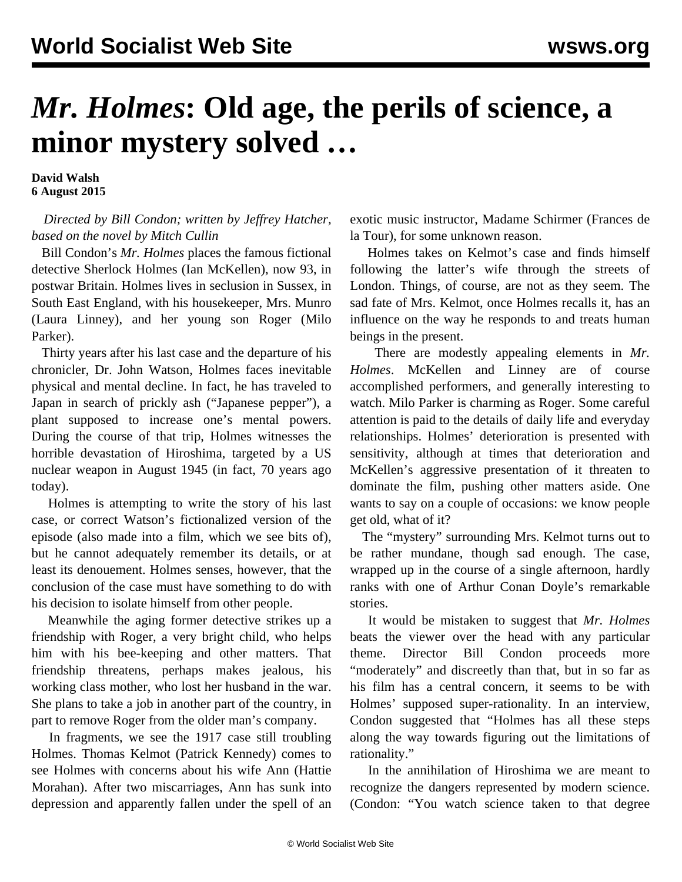## *Mr. Holmes***: Old age, the perils of science, a minor mystery solved …**

**David Walsh 6 August 2015**

## *Directed by Bill Condon; written by Jeffrey Hatcher, based on the novel by Mitch Cullin*

 Bill Condon's *Mr. Holmes* places the famous fictional detective Sherlock Holmes (Ian McKellen), now 93, in postwar Britain. Holmes lives in seclusion in Sussex, in South East England, with his housekeeper, Mrs. Munro (Laura Linney), and her young son Roger (Milo Parker).

 Thirty years after his last case and the departure of his chronicler, Dr. John Watson, Holmes faces inevitable physical and mental decline. In fact, he has traveled to Japan in search of prickly ash ("Japanese pepper"), a plant supposed to increase one's mental powers. During the course of that trip, Holmes witnesses the horrible devastation of Hiroshima, targeted by a US nuclear weapon in August 1945 (in fact, 70 years ago today).

 Holmes is attempting to write the story of his last case, or correct Watson's fictionalized version of the episode (also made into a film, which we see bits of), but he cannot adequately remember its details, or at least its denouement. Holmes senses, however, that the conclusion of the case must have something to do with his decision to isolate himself from other people.

 Meanwhile the aging former detective strikes up a friendship with Roger, a very bright child, who helps him with his bee-keeping and other matters. That friendship threatens, perhaps makes jealous, his working class mother, who lost her husband in the war. She plans to take a job in another part of the country, in part to remove Roger from the older man's company.

 In fragments, we see the 1917 case still troubling Holmes. Thomas Kelmot (Patrick Kennedy) comes to see Holmes with concerns about his wife Ann (Hattie Morahan). After two miscarriages, Ann has sunk into depression and apparently fallen under the spell of an

exotic music instructor, Madame Schirmer (Frances de la Tour), for some unknown reason.

 Holmes takes on Kelmot's case and finds himself following the latter's wife through the streets of London. Things, of course, are not as they seem. The sad fate of Mrs. Kelmot, once Holmes recalls it, has an influence on the way he responds to and treats human beings in the present.

 There are modestly appealing elements in *Mr. Holmes*. McKellen and Linney are of course accomplished performers, and generally interesting to watch. Milo Parker is charming as Roger. Some careful attention is paid to the details of daily life and everyday relationships. Holmes' deterioration is presented with sensitivity, although at times that deterioration and McKellen's aggressive presentation of it threaten to dominate the film, pushing other matters aside. One wants to say on a couple of occasions: we know people get old, what of it?

 The "mystery" surrounding Mrs. Kelmot turns out to be rather mundane, though sad enough. The case, wrapped up in the course of a single afternoon, hardly ranks with one of Arthur Conan Doyle's remarkable stories.

 It would be mistaken to suggest that *Mr. Holmes* beats the viewer over the head with any particular theme. Director Bill Condon proceeds more "moderately" and discreetly than that, but in so far as his film has a central concern, it seems to be with Holmes' supposed super-rationality. In an interview, Condon suggested that "Holmes has all these steps along the way towards figuring out the limitations of rationality."

 In the annihilation of Hiroshima we are meant to recognize the dangers represented by modern science. (Condon: "You watch science taken to that degree